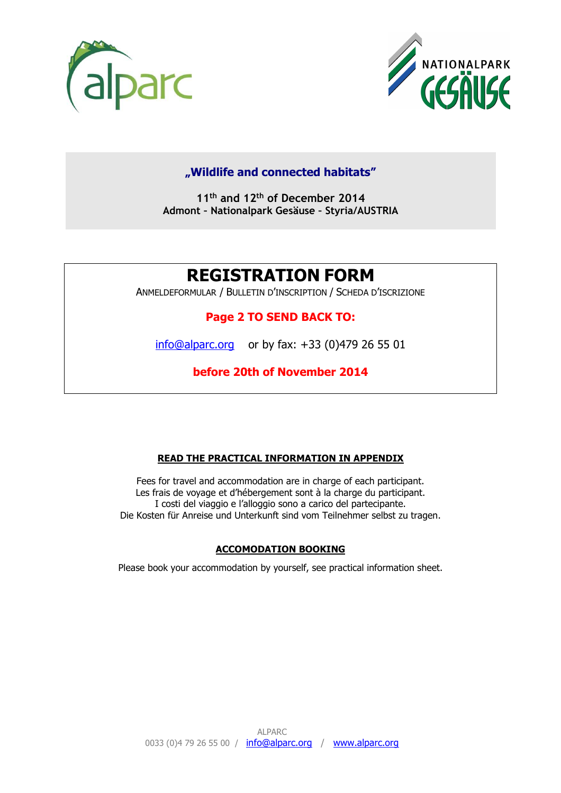



### **"Wildlife and connected habitats"**

**11th and 12th of December 2014 Admont – Nationalpark Gesäuse – Styria/AUSTRIA** 

# **REGISTRATION FORM**

ANMELDEFORMULAR / BULLETIN D'INSCRIPTION / SCHEDA D'ISCRIZIONE

#### **Page 2 TO SEND BACK TO:**

info@alparc.org or by fax: +33 (0)479 26 55 01

# **before 20th of November 2014**

#### **READ THE PRACTICAL INFORMATION IN APPENDIX**

Fees for travel and accommodation are in charge of each participant. Les frais de voyage et d'hébergement sont à la charge du participant. I costi del viaggio e l'alloggio sono a carico del partecipante. Die Kosten für Anreise und Unterkunft sind vom Teilnehmer selbst zu tragen.

#### **ACCOMODATION BOOKING**

Please book your accommodation by yourself, see practical information sheet.